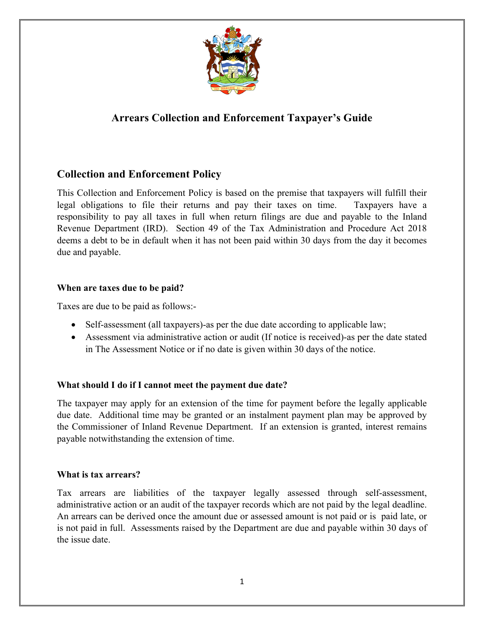

# **Arrears Collection and Enforcement Taxpayer's Guide**

## **Collection and Enforcement Policy**

This Collection and Enforcement Policy is based on the premise that taxpayers will fulfill their legal obligations to file their returns and pay their taxes on time. Taxpayers have a responsibility to pay all taxes in full when return filings are due and payable to the Inland Revenue Department (IRD). Section 49 of the Tax Administration and Procedure Act 2018 deems a debt to be in default when it has not been paid within 30 days from the day it becomes due and payable.

#### **When are taxes due to be paid?**

Taxes are due to be paid as follows:-

- Self-assessment (all taxpayers)-as per the due date according to applicable law;
- Assessment via administrative action or audit (If notice is received)-as per the date stated in The Assessment Notice or if no date is given within 30 days of the notice.

### **What should I do if I cannot meet the payment due date?**

The taxpayer may apply for an extension of the time for payment before the legally applicable due date. Additional time may be granted or an instalment payment plan may be approved by the Commissioner of Inland Revenue Department. If an extension is granted, interest remains payable notwithstanding the extension of time.

#### **What is tax arrears?**

Tax arrears are liabilities of the taxpayer legally assessed through self-assessment, administrative action or an audit of the taxpayer records which are not paid by the legal deadline. An arrears can be derived once the amount due or assessed amount is not paid or is paid late, or is not paid in full. Assessments raised by the Department are due and payable within 30 days of the issue date.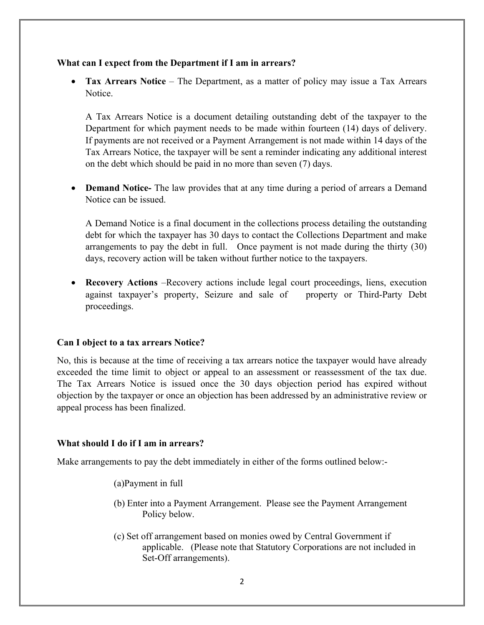#### **What can I expect from the Department if I am in arrears?**

• **Tax Arrears Notice** – The Department, as a matter of policy may issue a Tax Arrears Notice.

A Tax Arrears Notice is a document detailing outstanding debt of the taxpayer to the Department for which payment needs to be made within fourteen (14) days of delivery. If payments are not received or a Payment Arrangement is not made within 14 days of the Tax Arrears Notice, the taxpayer will be sent a reminder indicating any additional interest on the debt which should be paid in no more than seven (7) days.

• **Demand Notice-** The law provides that at any time during a period of arrears a Demand Notice can be issued.

A Demand Notice is a final document in the collections process detailing the outstanding debt for which the taxpayer has 30 days to contact the Collections Department and make arrangements to pay the debt in full. Once payment is not made during the thirty (30) days, recovery action will be taken without further notice to the taxpayers.

• **Recovery Actions** –Recovery actions include legal court proceedings, liens, execution against taxpayer's property, Seizure and sale of property or Third-Party Debt proceedings.

#### **Can I object to a tax arrears Notice?**

No, this is because at the time of receiving a tax arrears notice the taxpayer would have already exceeded the time limit to object or appeal to an assessment or reassessment of the tax due. The Tax Arrears Notice is issued once the 30 days objection period has expired without objection by the taxpayer or once an objection has been addressed by an administrative review or appeal process has been finalized.

#### **What should I do if I am in arrears?**

Make arrangements to pay the debt immediately in either of the forms outlined below:-

(a)Payment in full

- (b) Enter into a Payment Arrangement. Please see the Payment Arrangement Policy below.
- (c) Set off arrangement based on monies owed by Central Government if applicable. (Please note that Statutory Corporations are not included in Set-Off arrangements).